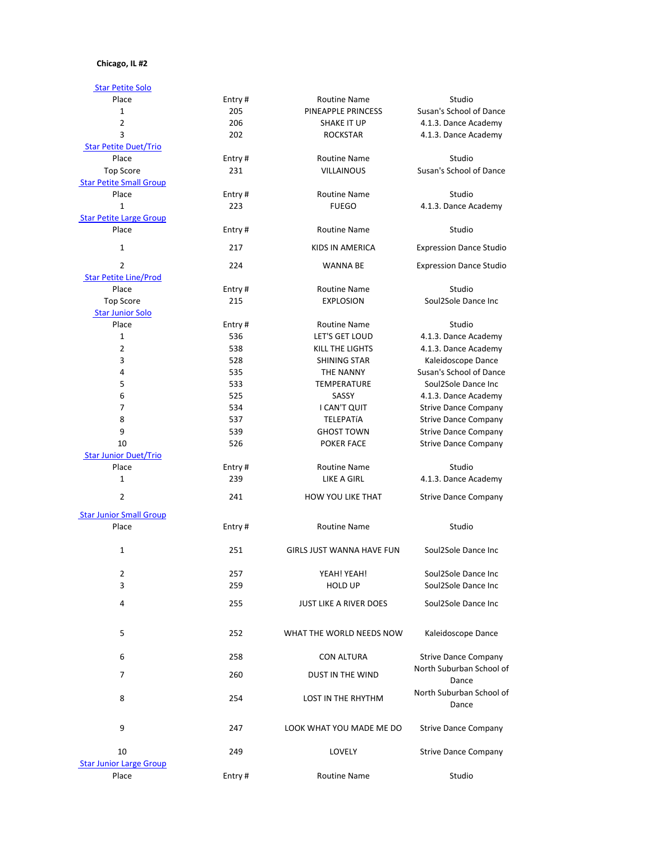## **Chicago, IL #2**

| <b>Star Petite Solo</b>        |        |                                  |                                   |
|--------------------------------|--------|----------------------------------|-----------------------------------|
| Place                          | Entry# | <b>Routine Name</b><br>Studio    |                                   |
| $\mathbf{1}$                   | 205    | PINEAPPLE PRINCESS               | Susan's School of Dance           |
| $\overline{2}$                 | 206    | <b>SHAKE IT UP</b>               | 4.1.3. Dance Academy              |
| 3                              | 202    | <b>ROCKSTAR</b>                  | 4.1.3. Dance Academy              |
| <b>Star Petite Duet/Trio</b>   |        |                                  |                                   |
| Place                          | Entry# | <b>Routine Name</b>              | Studio                            |
| <b>Top Score</b>               | 231    | <b>VILLAINOUS</b>                | Susan's School of Dance           |
| <b>Star Petite Small Group</b> |        |                                  |                                   |
| Place                          | Entry# | <b>Routine Name</b>              | Studio                            |
| $\mathbf{1}$                   | 223    | <b>FUEGO</b>                     | 4.1.3. Dance Academy              |
| <b>Star Petite Large Group</b> |        |                                  |                                   |
| Place                          | Entry# | <b>Routine Name</b>              | Studio                            |
| 1                              | 217    | KIDS IN AMERICA                  | <b>Expression Dance Studio</b>    |
| $\overline{2}$                 | 224    | <b>WANNA BE</b>                  | <b>Expression Dance Studio</b>    |
| <b>Star Petite Line/Prod</b>   |        |                                  |                                   |
| Place                          | Entry# | <b>Routine Name</b>              | Studio                            |
| <b>Top Score</b>               | 215    | <b>EXPLOSION</b>                 | Soul2Sole Dance Inc               |
| <b>Star Junior Solo</b>        |        |                                  |                                   |
| Place                          | Entry# | <b>Routine Name</b>              | Studio                            |
| 1                              | 536    | LET'S GET LOUD                   | 4.1.3. Dance Academy              |
| 2                              | 538    | KILL THE LIGHTS                  | 4.1.3. Dance Academy              |
| 3                              | 528    | <b>SHINING STAR</b>              | Kaleidoscope Dance                |
| 4                              | 535    | <b>THE NANNY</b>                 | Susan's School of Dance           |
| 5                              | 533    | <b>TEMPERATURE</b>               | Soul2Sole Dance Inc               |
| 6                              | 525    | SASSY                            | 4.1.3. Dance Academy              |
| 7                              | 534    | I CAN'T QUIT                     | <b>Strive Dance Company</b>       |
| 8                              | 537    | TELEPATÍA                        | <b>Strive Dance Company</b>       |
| 9                              | 539    | <b>GHOST TOWN</b>                | <b>Strive Dance Company</b>       |
| 10                             | 526    | <b>POKER FACE</b>                | <b>Strive Dance Company</b>       |
| <b>Star Junior Duet/Trio</b>   |        |                                  |                                   |
| Place                          | Entry# | <b>Routine Name</b>              | Studio                            |
| $\mathbf{1}$                   | 239    | <b>LIKE A GIRL</b>               | 4.1.3. Dance Academy              |
| $\overline{2}$                 | 241    | HOW YOU LIKE THAT                | <b>Strive Dance Company</b>       |
| <b>Star Junior Small Group</b> |        |                                  |                                   |
| Place                          | Entry# | <b>Routine Name</b>              | Studio                            |
|                                |        |                                  |                                   |
| 1                              | 251    | <b>GIRLS JUST WANNA HAVE FUN</b> | Soul2Sole Dance Inc               |
| $\overline{2}$                 | 257    | YEAH! YEAH!                      | Soul2Sole Dance Inc               |
| 3                              | 259    | <b>HOLD UP</b>                   | Soul2Sole Dance Inc               |
| 4                              | 255    | JUST LIKE A RIVER DOES           | Soul2Sole Dance Inc               |
|                                |        |                                  |                                   |
| 5                              | 252    | WHAT THE WORLD NEEDS NOW         | Kaleidoscope Dance                |
| 6                              | 258    | <b>CON ALTURA</b>                | <b>Strive Dance Company</b>       |
| $\overline{7}$                 | 260    | DUST IN THE WIND                 | North Suburban School of          |
|                                |        |                                  | Dance                             |
| 8                              | 254    | LOST IN THE RHYTHM               | North Suburban School of<br>Dance |
| 9                              | 247    | LOOK WHAT YOU MADE ME DO         | <b>Strive Dance Company</b>       |
| 10                             | 249    | LOVELY                           | <b>Strive Dance Company</b>       |
| <b>Star Junior Large Group</b> |        |                                  |                                   |
| Place                          | Entry# | <b>Routine Name</b>              | Studio                            |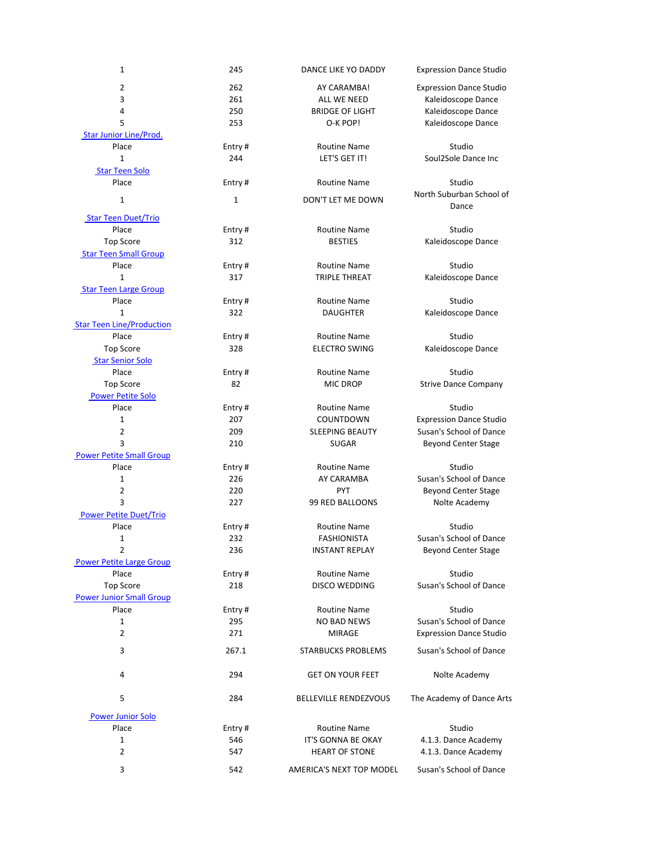| $\mathbf{1}$                     | 245          | DANCE LIKE YO DADDY          | <b>Expression Dance Studio</b>    |
|----------------------------------|--------------|------------------------------|-----------------------------------|
| $\overline{2}$                   | 262          | AY CARAMBA!                  | <b>Expression Dance Studio</b>    |
| 3                                | 261          | ALL WE NEED                  | Kaleidoscope Dance                |
| 4                                | 250          | <b>BRIDGE OF LIGHT</b>       | Kaleidoscope Dance                |
| 5                                | 253          | O-K POP!                     | Kaleidoscope Dance                |
| <b>Star Junior Line/Prod.</b>    |              |                              |                                   |
| Place                            | Entry#       | <b>Routine Name</b>          | Studio                            |
| $\mathbf{1}$                     | 244          | LET'S GET IT!                | Soul2Sole Dance Inc               |
| <b>Star Teen Solo</b>            |              |                              |                                   |
| Place                            | Entry#       | <b>Routine Name</b>          | Studio                            |
|                                  |              |                              |                                   |
| $\mathbf{1}$                     | $\mathbf{1}$ | DON'T LET ME DOWN            | North Suburban School of<br>Dance |
| <b>Star Teen Duet/Trio</b>       |              |                              |                                   |
| Place                            | Entry#       | <b>Routine Name</b>          | Studio                            |
| <b>Top Score</b>                 | 312          | <b>BESTIES</b>               | Kaleidoscope Dance                |
| <b>Star Teen Small Group</b>     |              |                              |                                   |
| Place                            | Entry#       | <b>Routine Name</b>          | Studio                            |
| 1                                | 317          | <b>TRIPLE THREAT</b>         | Kaleidoscope Dance                |
| <b>Star Teen Large Group</b>     |              |                              |                                   |
| Place                            | Entry#       | <b>Routine Name</b>          | Studio                            |
| 1                                | 322          | <b>DAUGHTER</b>              | Kaleidoscope Dance                |
| <b>Star Teen Line/Production</b> |              |                              |                                   |
| Place                            | Entry#       | <b>Routine Name</b>          | Studio                            |
|                                  | 328          |                              |                                   |
| <b>Top Score</b>                 |              | <b>ELECTRO SWING</b>         | Kaleidoscope Dance                |
| <b>Star Senior Solo</b>          |              |                              |                                   |
| Place                            | Entry#       | <b>Routine Name</b>          | Studio                            |
| <b>Top Score</b>                 | 82           | <b>MIC DROP</b>              | <b>Strive Dance Company</b>       |
| <b>Power Petite Solo</b>         |              |                              |                                   |
| Place                            | Entry#       | <b>Routine Name</b>          | Studio                            |
| 1                                | 207          | COUNTDOWN                    | <b>Expression Dance Studio</b>    |
| $\overline{c}$                   | 209          | <b>SLEEPING BEAUTY</b>       | Susan's School of Dance           |
| 3                                | 210          | <b>SUGAR</b>                 | <b>Beyond Center Stage</b>        |
| <b>Power Petite Small Group</b>  |              |                              |                                   |
| Place                            | Entry#       | <b>Routine Name</b>          | Studio                            |
| 1                                | 226          | AY CARAMBA                   | Susan's School of Dance           |
| $\overline{2}$                   | 220          | <b>PYT</b>                   | <b>Beyond Center Stage</b>        |
| 3                                | 227          | 99 RED BALLOONS              | Nolte Academy                     |
| <b>Power Petite Duet/Trio</b>    |              |                              |                                   |
| Place                            | Entry#       | <b>Routine Name</b>          | Studio                            |
| 1                                | 232          | <b>FASHIONISTA</b>           | Susan's School of Dance           |
| $\overline{2}$                   |              |                              |                                   |
|                                  | 236          | <b>INSTANT REPLAY</b>        | <b>Beyond Center Stage</b>        |
| <b>Power Petite Large Group</b>  |              |                              |                                   |
| Place                            | Entry#       | <b>Routine Name</b>          | Studio                            |
| <b>Top Score</b>                 | 218          | <b>DISCO WEDDING</b>         | Susan's School of Dance           |
| <b>Power Junior Small Group</b>  |              |                              |                                   |
| Place                            | Entry#       | <b>Routine Name</b>          | Studio                            |
| 1                                | 295          | <b>NO BAD NEWS</b>           | Susan's School of Dance           |
| $\overline{2}$                   | 271          | <b>MIRAGE</b>                | <b>Expression Dance Studio</b>    |
| 3                                | 267.1        | <b>STARBUCKS PROBLEMS</b>    | Susan's School of Dance           |
|                                  |              |                              |                                   |
| 4                                | 294          | <b>GET ON YOUR FEET</b>      | Nolte Academy                     |
| 5                                | 284          | <b>BELLEVILLE RENDEZVOUS</b> | The Academy of Dance Arts         |
| <b>Power Junior Solo</b>         |              |                              |                                   |
| Place                            | Entry#       | <b>Routine Name</b>          | Studio                            |
| 1                                | 546          | <b>IT'S GONNA BE OKAY</b>    | 4.1.3. Dance Academy              |
| 2                                | 547          | <b>HEART OF STONE</b>        | 4.1.3. Dance Academy              |
|                                  |              |                              |                                   |
| 3                                | 542          | AMERICA'S NEXT TOP MODEL     | Susan's School of Dance           |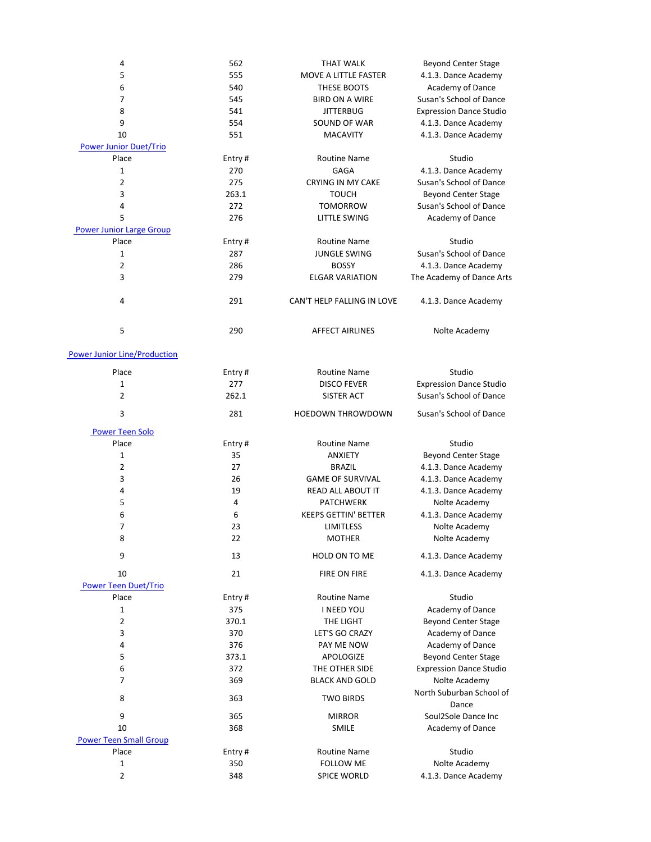| 4                                   | 562    | <b>THAT WALK</b>                        | <b>Beyond Center Stage</b>        |
|-------------------------------------|--------|-----------------------------------------|-----------------------------------|
| 5                                   | 555    | MOVE A LITTLE FASTER                    | 4.1.3. Dance Academy              |
| 6                                   | 540    | THESE BOOTS                             | Academy of Dance                  |
| 7                                   | 545    | <b>BIRD ON A WIRE</b>                   | Susan's School of Dance           |
| 8                                   | 541    | <b>JITTERBUG</b>                        | <b>Expression Dance Studio</b>    |
| 9                                   | 554    | SOUND OF WAR<br>4.1.3. Dance Academy    |                                   |
| 10                                  | 551    | <b>MACAVITY</b><br>4.1.3. Dance Academy |                                   |
| <b>Power Junior Duet/Trio</b>       |        |                                         |                                   |
| Place                               | Entry# | <b>Routine Name</b>                     | Studio                            |
| 1                                   | 270    | <b>GAGA</b>                             | 4.1.3. Dance Academy              |
| $\overline{2}$                      | 275    | <b>CRYING IN MY CAKE</b>                | Susan's School of Dance           |
| 3                                   | 263.1  | <b>TOUCH</b>                            | <b>Beyond Center Stage</b>        |
| 4                                   | 272    | <b>TOMORROW</b>                         | Susan's School of Dance           |
| 5                                   | 276    | <b>LITTLE SWING</b>                     | Academy of Dance                  |
| <b>Power Junior Large Group</b>     |        |                                         |                                   |
| Place                               | Entry# | <b>Routine Name</b>                     | Studio                            |
| 1                                   | 287    | <b>JUNGLE SWING</b>                     | Susan's School of Dance           |
| $\overline{2}$                      | 286    | <b>BOSSY</b>                            | 4.1.3. Dance Academy              |
| 3                                   | 279    | <b>ELGAR VARIATION</b>                  | The Academy of Dance Arts         |
|                                     |        |                                         |                                   |
| 4                                   | 291    | CAN'T HELP FALLING IN LOVE              | 4.1.3. Dance Academy              |
| 5                                   | 290    | <b>AFFECT AIRLINES</b>                  | Nolte Academy                     |
| <b>Power Junior Line/Production</b> |        |                                         |                                   |
| Place                               | Entry# | <b>Routine Name</b>                     | Studio                            |
| $\mathbf{1}$                        | 277    | <b>DISCO FEVER</b>                      | <b>Expression Dance Studio</b>    |
| $\overline{2}$                      | 262.1  | <b>SISTER ACT</b>                       | Susan's School of Dance           |
|                                     |        |                                         |                                   |
| 3                                   | 281    | <b>HOEDOWN THROWDOWN</b>                | Susan's School of Dance           |
| <b>Power Teen Solo</b>              |        |                                         |                                   |
| Place                               | Entry# | <b>Routine Name</b>                     | Studio                            |
| 1                                   | 35     | <b>ANXIETY</b>                          | <b>Beyond Center Stage</b>        |
| $\overline{2}$                      | 27     | <b>BRAZIL</b>                           | 4.1.3. Dance Academy              |
| 3                                   | 26     | <b>GAME OF SURVIVAL</b>                 | 4.1.3. Dance Academy              |
| 4                                   | 19     | <b>READ ALL ABOUT IT</b>                | 4.1.3. Dance Academy              |
| 5                                   | 4      | <b>PATCHWERK</b>                        | Nolte Academy                     |
| 6                                   | 6      | <b>KEEPS GETTIN' BETTER</b>             | 4.1.3. Dance Academy              |
| 7                                   | 23     | <b>LIMITLESS</b>                        | Nolte Academy                     |
| 8                                   | 22     | <b>MOTHER</b>                           | Nolte Academy                     |
| 9                                   | 13     | HOLD ON TO ME                           |                                   |
|                                     |        |                                         | 4.1.3. Dance Academy              |
| 10                                  | 21     | <b>FIRE ON FIRE</b>                     | 4.1.3. Dance Academy              |
| <b>Power Teen Duet/Trio</b>         |        |                                         |                                   |
| Place                               | Entry# | <b>Routine Name</b>                     | Studio                            |
| $\mathbf{1}$                        | 375    | <b>I NEED YOU</b>                       | Academy of Dance                  |
| $\overline{2}$                      | 370.1  | THE LIGHT                               | <b>Beyond Center Stage</b>        |
| 3                                   | 370    | LET'S GO CRAZY                          | Academy of Dance                  |
| 4                                   | 376    | PAY ME NOW                              | Academy of Dance                  |
| 5                                   | 373.1  | <b>APOLOGIZE</b>                        | <b>Beyond Center Stage</b>        |
| 6                                   | 372    | THE OTHER SIDE                          | <b>Expression Dance Studio</b>    |
| $\overline{7}$                      | 369    | <b>BLACK AND GOLD</b>                   | Nolte Academy                     |
| 8                                   | 363    | <b>TWO BIRDS</b>                        | North Suburban School of<br>Dance |
| 9                                   | 365    | <b>MIRROR</b>                           | Soul2Sole Dance Inc               |
| 10                                  | 368    | SMILE                                   | Academy of Dance                  |
| <b>Power Teen Small Group</b>       |        |                                         |                                   |
| Place                               | Entry# | <b>Routine Name</b>                     | Studio                            |
| 1                                   | 350    | <b>FOLLOW ME</b>                        | Nolte Academy                     |
| 2                                   | 348    | <b>SPICE WORLD</b>                      | 4.1.3. Dance Academy              |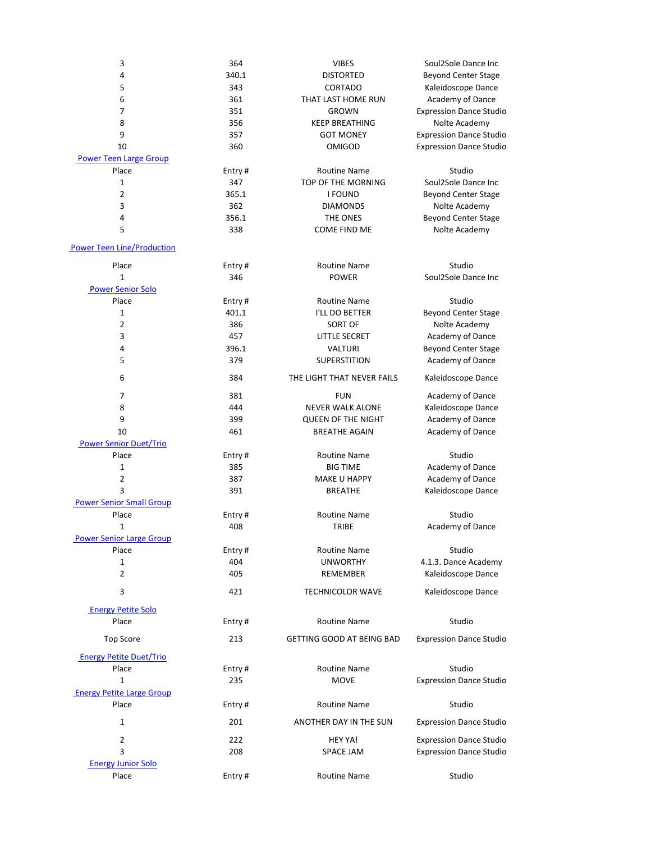| 3                                        | 364           | <b>VIBES</b>                | Soul2Sole Dance Inc                         |
|------------------------------------------|---------------|-----------------------------|---------------------------------------------|
| 4                                        | 340.1         | <b>DISTORTED</b>            | <b>Beyond Center Stage</b>                  |
| 5                                        | 343           | CORTADO                     | Kaleidoscope Dance                          |
| 6                                        | 361           | THAT LAST HOME RUN          | Academy of Dance                            |
| 7                                        | 351           | <b>GROWN</b>                | <b>Expression Dance Studio</b>              |
| 8                                        | 356           | <b>KEEP BREATHING</b>       | Nolte Academy                               |
| 9                                        | 357           | <b>GOT MONEY</b>            | <b>Expression Dance Studio</b>              |
| 10                                       | 360           | <b>OMIGOD</b>               | <b>Expression Dance Studio</b>              |
| <b>Power Teen Large Group</b>            |               |                             |                                             |
| Place                                    | Entry#        | <b>Routine Name</b>         | Studio                                      |
| 1                                        | 347           | TOP OF THE MORNING          | Soul2Sole Dance Inc                         |
| 2                                        | 365.1         | <b>I FOUND</b>              | <b>Beyond Center Stage</b>                  |
| 3                                        | 362<br>356.1  | <b>DIAMONDS</b><br>THE ONES | Nolte Academy                               |
| 4<br>5                                   | 338           | <b>COME FIND ME</b>         | <b>Beyond Center Stage</b><br>Nolte Academy |
|                                          |               |                             |                                             |
| <b>Power Teen Line/Production</b>        |               |                             |                                             |
| Place                                    | Entry#        | <b>Routine Name</b>         | Studio                                      |
| $\mathbf{1}$                             | 346           | <b>POWER</b>                | Soul2Sole Dance Inc                         |
| <b>Power Senior Solo</b>                 |               |                             |                                             |
| Place                                    | Entry#        | <b>Routine Name</b>         | Studio                                      |
| 1                                        | 401.1         | I'LL DO BETTER              | <b>Beyond Center Stage</b>                  |
| 2                                        | 386           | <b>SORT OF</b>              | Nolte Academy                               |
| 3                                        | 457           | <b>LITTLE SECRET</b>        | Academy of Dance                            |
| 4                                        | 396.1         | <b>VALTURI</b>              | <b>Beyond Center Stage</b>                  |
| 5                                        | 379           | SUPERSTITION                | Academy of Dance                            |
| 6                                        | 384           | THE LIGHT THAT NEVER FAILS  | Kaleidoscope Dance                          |
| 7                                        | 381           | <b>FUN</b>                  | Academy of Dance                            |
| 8                                        | 444           | <b>NEVER WALK ALONE</b>     | Kaleidoscope Dance                          |
| 9                                        | 399           | <b>QUEEN OF THE NIGHT</b>   | Academy of Dance                            |
| 10                                       | 461           | <b>BREATHE AGAIN</b>        | Academy of Dance                            |
| <b>Power Senior Duet/Trio</b>            |               |                             |                                             |
| Place                                    | Entry#        | <b>Routine Name</b>         | Studio                                      |
| $\mathbf{1}$                             | 385           | <b>BIG TIME</b>             | Academy of Dance                            |
| 2                                        | 387           | <b>MAKE U HAPPY</b>         | Academy of Dance                            |
| 3                                        | 391           | <b>BREATHE</b>              | Kaleidoscope Dance                          |
| <b>Power Senior Small Group</b><br>Place |               | <b>Routine Name</b>         | Studio                                      |
| 1                                        | Entry#<br>408 | TRIBE                       | Academy of Dance                            |
| <b>Power Senior Large Group</b>          |               |                             |                                             |
| Place                                    | Entry#        | <b>Routine Name</b>         | Studio                                      |
| $\mathbf{1}$                             | 404           | <b>UNWORTHY</b>             | 4.1.3. Dance Academy                        |
| $\overline{2}$                           | 405           | <b>REMEMBER</b>             | Kaleidoscope Dance                          |
| 3                                        | 421           | <b>TECHNICOLOR WAVE</b>     | Kaleidoscope Dance                          |
| <b>Energy Petite Solo</b>                |               |                             |                                             |
| Place                                    | Entry#        | <b>Routine Name</b>         | Studio                                      |
| <b>Top Score</b>                         | 213           | GETTING GOOD AT BEING BAD   | <b>Expression Dance Studio</b>              |
| <b>Energy Petite Duet/Trio</b>           |               |                             |                                             |
| Place                                    | Entry#        | <b>Routine Name</b>         | Studio                                      |
| 1                                        | 235           | <b>MOVE</b>                 | <b>Expression Dance Studio</b>              |
| <b>Energy Petite Large Group</b>         |               |                             |                                             |
| Place                                    | Entry#        | <b>Routine Name</b>         | Studio                                      |
| $\mathbf 1$                              | 201           | ANOTHER DAY IN THE SUN      | <b>Expression Dance Studio</b>              |
| $\overline{2}$                           | 222           | <b>HEY YA!</b>              | <b>Expression Dance Studio</b>              |
| 3                                        | 208           | <b>SPACE JAM</b>            | <b>Expression Dance Studio</b>              |
| <b>Energy Junior Solo</b>                |               |                             |                                             |
| Place                                    | Entry#        | <b>Routine Name</b>         | Studio                                      |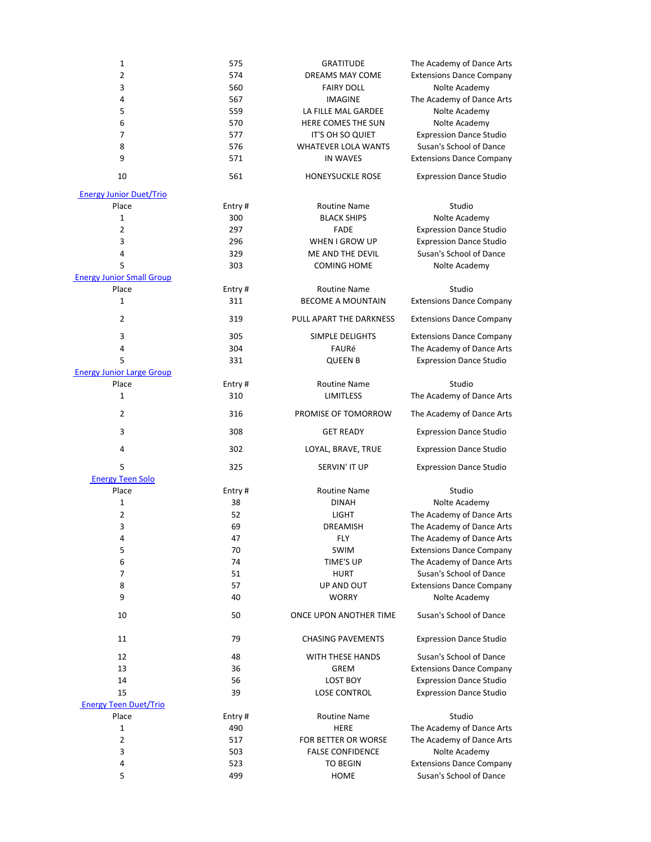| $\mathbf 1$                      | 575    | <b>GRATITUDE</b>           | The Academy of Dance Arts       |
|----------------------------------|--------|----------------------------|---------------------------------|
| $\overline{2}$                   | 574    | DREAMS MAY COME            | <b>Extensions Dance Company</b> |
| $\mathsf 3$                      | 560    | <b>FAIRY DOLL</b>          | Nolte Academy                   |
| 4                                | 567    | <b>IMAGINE</b>             | The Academy of Dance Arts       |
| 5                                | 559    | LA FILLE MAL GARDEE        | Nolte Academy                   |
| 6                                | 570    | HERE COMES THE SUN         | Nolte Academy                   |
| 7                                | 577    | IT'S OH SO QUIET           | <b>Expression Dance Studio</b>  |
| 8                                | 576    | <b>WHATEVER LOLA WANTS</b> | Susan's School of Dance         |
| 9                                | 571    | <b>IN WAVES</b>            | <b>Extensions Dance Company</b> |
| 10                               | 561    | HONEYSUCKLE ROSE           | <b>Expression Dance Studio</b>  |
| <b>Energy Junior Duet/Trio</b>   |        |                            |                                 |
| Place                            | Entry# | <b>Routine Name</b>        | Studio                          |
| $\mathbf{1}$                     | 300    | <b>BLACK SHIPS</b>         | Nolte Academy                   |
| $\overline{2}$                   | 297    | <b>FADE</b>                | <b>Expression Dance Studio</b>  |
|                                  |        |                            |                                 |
| 3                                | 296    | WHEN I GROW UP             | <b>Expression Dance Studio</b>  |
| 4                                | 329    | ME AND THE DEVIL           | Susan's School of Dance         |
| 5                                | 303    | <b>COMING HOME</b>         | Nolte Academy                   |
| <b>Energy Junior Small Group</b> |        |                            |                                 |
| Place                            | Entry# | <b>Routine Name</b>        | Studio                          |
| $\mathbf{1}$                     | 311    | <b>BECOME A MOUNTAIN</b>   | <b>Extensions Dance Company</b> |
| $\overline{2}$                   | 319    | PULL APART THE DARKNESS    | <b>Extensions Dance Company</b> |
| 3                                | 305    | SIMPLE DELIGHTS            | <b>Extensions Dance Company</b> |
| 4                                | 304    | FAURé                      | The Academy of Dance Arts       |
| 5                                | 331    | <b>QUEEN B</b>             | <b>Expression Dance Studio</b>  |
| <b>Energy Junior Large Group</b> |        |                            |                                 |
| Place                            | Entry# | <b>Routine Name</b>        | Studio                          |
| $\mathbf{1}$                     | 310    | <b>LIMITLESS</b>           | The Academy of Dance Arts       |
|                                  |        |                            |                                 |
| $\overline{2}$                   | 316    | PROMISE OF TOMORROW        | The Academy of Dance Arts       |
| $\mathsf{3}$                     | 308    | <b>GET READY</b>           | <b>Expression Dance Studio</b>  |
| 4                                | 302    | LOYAL, BRAVE, TRUE         | <b>Expression Dance Studio</b>  |
| 5                                | 325    | SERVIN' IT UP              | <b>Expression Dance Studio</b>  |
| <b>Energy Teen Solo</b>          |        |                            |                                 |
| Place                            | Entry# | <b>Routine Name</b>        | Studio                          |
| $\mathbf{1}$                     | 38     | <b>DINAH</b>               | Nolte Academy                   |
| $\overline{2}$                   | 52     | <b>LIGHT</b>               | The Academy of Dance Arts       |
| 3                                | 69     | <b>DREAMISH</b>            | The Academy of Dance Arts       |
| 4                                | 47     | <b>FLY</b>                 | The Academy of Dance Arts       |
| 5                                | 70     | SWIM                       | <b>Extensions Dance Company</b> |
| 6                                | 74     | TIME'S UP                  | The Academy of Dance Arts       |
| 7                                | 51     | <b>HURT</b>                | Susan's School of Dance         |
| 8                                | 57     | UP AND OUT                 | <b>Extensions Dance Company</b> |
| 9                                | 40     | <b>WORRY</b>               | Nolte Academy                   |
| 10                               | 50     | ONCE UPON ANOTHER TIME     | Susan's School of Dance         |
|                                  |        |                            |                                 |
| 11                               | 79     | <b>CHASING PAVEMENTS</b>   | <b>Expression Dance Studio</b>  |
| 12                               | 48     | <b>WITH THESE HANDS</b>    | Susan's School of Dance         |
| 13                               | 36     | <b>GREM</b>                | <b>Extensions Dance Company</b> |
| 14                               | 56     | <b>LOST BOY</b>            | <b>Expression Dance Studio</b>  |
| 15                               | 39     | <b>LOSE CONTROL</b>        | <b>Expression Dance Studio</b>  |
| <b>Energy Teen Duet/Trio</b>     |        |                            |                                 |
| Place                            | Entry# | <b>Routine Name</b>        | Studio                          |
| $\mathbf{1}$                     | 490    | <b>HERE</b>                | The Academy of Dance Arts       |
| $\overline{2}$                   | 517    | FOR BETTER OR WORSE        | The Academy of Dance Arts       |
| 3                                | 503    | <b>FALSE CONFIDENCE</b>    | Nolte Academy                   |
| 4                                | 523    | <b>TO BEGIN</b>            | <b>Extensions Dance Company</b> |
| 5                                | 499    | <b>HOME</b>                | Susan's School of Dance         |
|                                  |        |                            |                                 |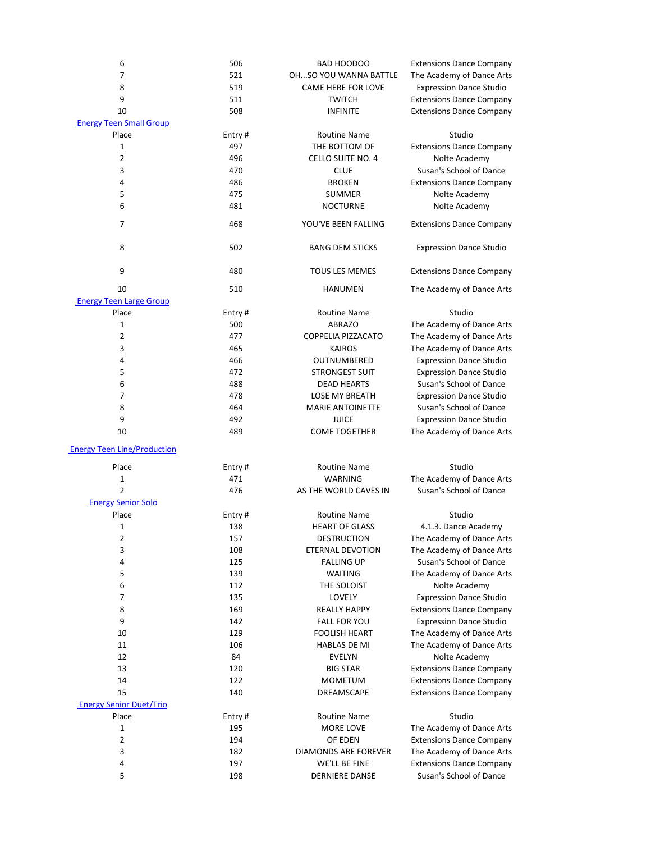| $\boldsymbol{6}$                   | 506    | BAD HOODOO                                         | <b>Extensions Dance Company</b> |
|------------------------------------|--------|----------------------------------------------------|---------------------------------|
| $\overline{7}$                     | 521    | OHSO YOU WANNA BATTLE<br>The Academy of Dance Arts |                                 |
| 8                                  | 519    | <b>CAME HERE FOR LOVE</b>                          | <b>Expression Dance Studio</b>  |
| 9                                  | 511    | <b>TWITCH</b>                                      | <b>Extensions Dance Company</b> |
| 10                                 | 508    | <b>INFINITE</b>                                    | <b>Extensions Dance Company</b> |
| <b>Energy Teen Small Group</b>     |        |                                                    |                                 |
| Place                              | Entry# | <b>Routine Name</b>                                | Studio                          |
| $\mathbf{1}$                       | 497    | THE BOTTOM OF                                      | <b>Extensions Dance Company</b> |
| $\overline{2}$                     | 496    | <b>CELLO SUITE NO. 4</b>                           | Nolte Academy                   |
| 3                                  | 470    | <b>CLUE</b>                                        | Susan's School of Dance         |
| 4                                  | 486    | <b>BROKEN</b>                                      | <b>Extensions Dance Company</b> |
| 5                                  | 475    | <b>SUMMER</b>                                      | Nolte Academy                   |
| 6                                  | 481    | <b>NOCTURNE</b>                                    | Nolte Academy                   |
|                                    |        |                                                    |                                 |
| 7                                  | 468    | YOU'VE BEEN FALLING                                | <b>Extensions Dance Company</b> |
|                                    |        |                                                    |                                 |
| 8                                  | 502    | <b>BANG DEM STICKS</b>                             | <b>Expression Dance Studio</b>  |
|                                    |        |                                                    |                                 |
| 9                                  | 480    | <b>TOUS LES MEMES</b>                              | <b>Extensions Dance Company</b> |
| 10                                 | 510    | <b>HANUMEN</b>                                     | The Academy of Dance Arts       |
| <b>Energy Teen Large Group</b>     |        |                                                    |                                 |
| Place                              | Entry# | <b>Routine Name</b>                                | Studio                          |
| 1                                  | 500    | <b>ABRAZO</b>                                      | The Academy of Dance Arts       |
| $\overline{2}$                     | 477    | COPPELIA PIZZACATO                                 | The Academy of Dance Arts       |
| 3                                  | 465    | <b>KAIROS</b>                                      | The Academy of Dance Arts       |
| 4                                  | 466    | OUTNUMBERED                                        | <b>Expression Dance Studio</b>  |
| 5                                  | 472    | <b>STRONGEST SUIT</b>                              | <b>Expression Dance Studio</b>  |
| 6                                  | 488    | <b>DEAD HEARTS</b>                                 | Susan's School of Dance         |
| 7                                  | 478    | <b>LOSE MY BREATH</b>                              | <b>Expression Dance Studio</b>  |
| 8                                  | 464    | <b>MARIE ANTOINETTE</b>                            | Susan's School of Dance         |
| 9                                  | 492    | <b>JUICE</b>                                       | <b>Expression Dance Studio</b>  |
| 10                                 | 489    | <b>COME TOGETHER</b>                               | The Academy of Dance Arts       |
| <b>Energy Teen Line/Production</b> |        |                                                    |                                 |
| Place                              | Entry# | <b>Routine Name</b>                                | Studio                          |
| 1                                  | 471    | WARNING                                            | The Academy of Dance Arts       |
| $\overline{2}$                     | 476    | AS THE WORLD CAVES IN                              | Susan's School of Dance         |
| <b>Energy Senior Solo</b>          |        |                                                    |                                 |
| Place                              | Entry# | <b>Routine Name</b>                                | Studio                          |
| 1                                  | 138    | <b>HEART OF GLASS</b>                              | 4.1.3. Dance Academy            |
| 2                                  | 157    | <b>DESTRUCTION</b>                                 | The Academy of Dance Arts       |
| 3                                  | 108    | <b>ETERNAL DEVOTION</b>                            | The Academy of Dance Arts       |
| 4                                  | 125    | <b>FALLING UP</b>                                  | Susan's School of Dance         |
| 5                                  | 139    | <b>WAITING</b>                                     | The Academy of Dance Arts       |
| 6                                  | 112    | THE SOLOIST                                        | Nolte Academy                   |
| 7                                  | 135    | LOVELY                                             | <b>Expression Dance Studio</b>  |
| 8                                  | 169    | <b>REALLY HAPPY</b>                                | <b>Extensions Dance Company</b> |
| 9                                  | 142    | <b>FALL FOR YOU</b>                                | <b>Expression Dance Studio</b>  |
| 10                                 | 129    | <b>FOOLISH HEART</b>                               | The Academy of Dance Arts       |
| 11                                 | 106    | HABLAS DE MI                                       | The Academy of Dance Arts       |
| 12                                 | 84     | <b>EVELYN</b>                                      | Nolte Academy                   |
| 13                                 | 120    | <b>BIG STAR</b>                                    | <b>Extensions Dance Company</b> |
| 14                                 | 122    | <b>MOMETUM</b>                                     | <b>Extensions Dance Company</b> |
| 15                                 | 140    | DREAMSCAPE                                         | <b>Extensions Dance Company</b> |
| <b>Energy Senior Duet/Trio</b>     |        |                                                    |                                 |
| Place                              | Entry# | <b>Routine Name</b>                                | Studio                          |
| 1                                  | 195    | MORE LOVE                                          | The Academy of Dance Arts       |
| 2                                  | 194    | OF EDEN                                            | <b>Extensions Dance Company</b> |
| 3                                  | 182    | <b>DIAMONDS ARE FOREVER</b>                        | The Academy of Dance Arts       |
| 4                                  | 197    | WE'LL BE FINE                                      | <b>Extensions Dance Company</b> |
| 5                                  | 198    | <b>DERNIERE DANSE</b>                              | Susan's School of Dance         |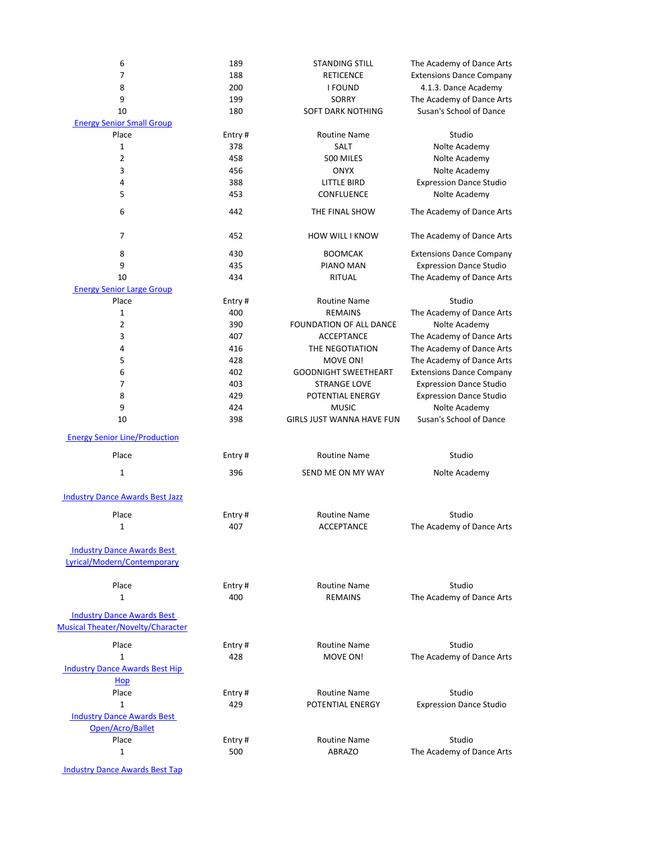| 6                                                                             | 189    | <b>STANDING STILL</b>            | The Academy of Dance Arts       |
|-------------------------------------------------------------------------------|--------|----------------------------------|---------------------------------|
| 7                                                                             | 188    | <b>RETICENCE</b>                 | <b>Extensions Dance Company</b> |
| 8                                                                             | 200    | <b>I FOUND</b>                   | 4.1.3. Dance Academy            |
| 9                                                                             | 199    | <b>SORRY</b>                     | The Academy of Dance Arts       |
| 10                                                                            | 180    | <b>SOFT DARK NOTHING</b>         | Susan's School of Dance         |
| <b>Energy Senior Small Group</b>                                              |        |                                  |                                 |
| Place                                                                         | Entry# | <b>Routine Name</b>              | Studio                          |
| 1                                                                             | 378    | SALT                             | Nolte Academy                   |
| 2                                                                             | 458    | 500 MILES                        | Nolte Academy                   |
| 3                                                                             | 456    | <b>ONYX</b>                      | Nolte Academy                   |
| 4                                                                             | 388    | <b>LITTLE BIRD</b>               | <b>Expression Dance Studio</b>  |
| 5                                                                             | 453    | CONFLUENCE                       | Nolte Academy                   |
| 6                                                                             | 442    | THE FINAL SHOW                   | The Academy of Dance Arts       |
| 7                                                                             | 452    | <b>HOW WILL I KNOW</b>           | The Academy of Dance Arts       |
|                                                                               |        |                                  |                                 |
| 8                                                                             | 430    | <b>BOOMCAK</b>                   | <b>Extensions Dance Company</b> |
| 9                                                                             | 435    | <b>PIANO MAN</b>                 | <b>Expression Dance Studio</b>  |
| 10                                                                            | 434    | <b>RITUAL</b>                    | The Academy of Dance Arts       |
| <b>Energy Senior Large Group</b>                                              |        |                                  |                                 |
| Place                                                                         | Entry# | <b>Routine Name</b>              | Studio                          |
| 1                                                                             | 400    | <b>REMAINS</b>                   | The Academy of Dance Arts       |
| 2                                                                             | 390    | FOUNDATION OF ALL DANCE          | Nolte Academy                   |
| 3                                                                             | 407    | <b>ACCEPTANCE</b>                | The Academy of Dance Arts       |
| 4                                                                             | 416    | THE NEGOTIATION                  | The Academy of Dance Arts       |
| 5                                                                             | 428    | MOVE ON!                         | The Academy of Dance Arts       |
| 6                                                                             | 402    | <b>GOODNIGHT SWEETHEART</b>      | <b>Extensions Dance Company</b> |
| 7                                                                             | 403    | <b>STRANGE LOVE</b>              | <b>Expression Dance Studio</b>  |
| 8                                                                             | 429    | POTENTIAL ENERGY                 | <b>Expression Dance Studio</b>  |
| 9                                                                             | 424    | <b>MUSIC</b>                     | Nolte Academy                   |
| 10                                                                            | 398    | <b>GIRLS JUST WANNA HAVE FUN</b> | Susan's School of Dance         |
| <b>Energy Senior Line/Production</b>                                          |        |                                  |                                 |
| Place                                                                         | Entry# | <b>Routine Name</b>              | Studio                          |
| $\mathbf{1}$                                                                  | 396    | SEND ME ON MY WAY                | Nolte Academy                   |
| <b>Industry Dance Awards Best Jazz</b>                                        |        |                                  |                                 |
| Place                                                                         | Entry# | <b>Routine Name</b>              | Studio                          |
| $\mathbf{1}$                                                                  | 407    | <b>ACCEPTANCE</b>                | The Academy of Dance Arts       |
| <b>Industry Dance Awards Best</b>                                             |        |                                  |                                 |
| Lyrical/Modern/Contemporary                                                   |        |                                  |                                 |
| Place                                                                         | Entry# | <b>Routine Name</b>              | Studio                          |
| 1                                                                             | 400    | <b>REMAINS</b>                   | The Academy of Dance Arts       |
|                                                                               |        |                                  |                                 |
| <b>Industry Dance Awards Best</b><br><b>Musical Theater/Novelty/Character</b> |        |                                  |                                 |
| Place                                                                         | Entry# | <b>Routine Name</b>              | Studio                          |
| 1                                                                             | 428    | MOVE ON!                         | The Academy of Dance Arts       |
| <b>Industry Dance Awards Best Hip</b>                                         |        |                                  |                                 |
| Hop                                                                           |        |                                  |                                 |
| Place                                                                         | Entry# | <b>Routine Name</b>              | Studio                          |
| $\mathbf{1}$                                                                  | 429    | POTENTIAL ENERGY                 | <b>Expression Dance Studio</b>  |
| <b>Industry Dance Awards Best</b>                                             |        |                                  |                                 |
| Open/Acro/Ballet                                                              |        |                                  |                                 |
| Place                                                                         | Entry# | <b>Routine Name</b>              | Studio                          |
| 1                                                                             | 500    | <b>ABRAZO</b>                    | The Academy of Dance Arts       |
|                                                                               |        |                                  |                                 |
| <b>Industry Dance Awards Best Tap</b>                                         |        |                                  |                                 |